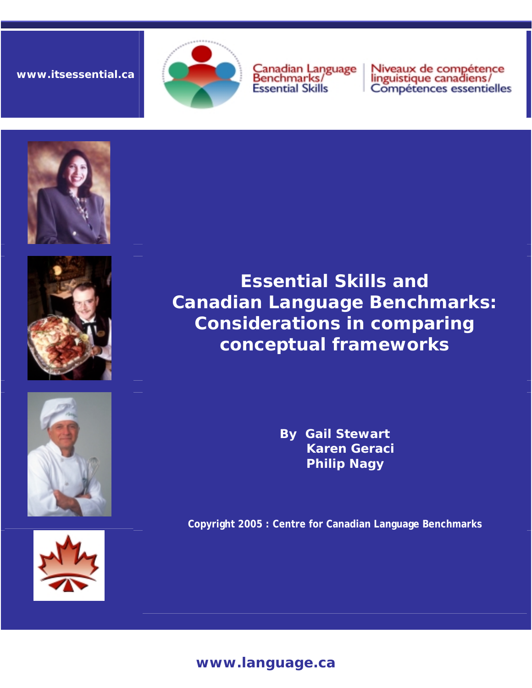**www.itsessential.ca** 



Canadian Language<br>Benchmarks/ **Essential Skills** 

Niveaux de compétence<br>linguistique canadiens/<br>Compétences essentielles









**Essential Skills and Canadian Language Benchmarks: Considerations in comparing conceptual frameworks** 

> **By Gail Stewart Karen Geraci Philip Nagy**

**Copyright 2005 : Centre for Canadian Language Benchmarks** 

# **www.language.ca**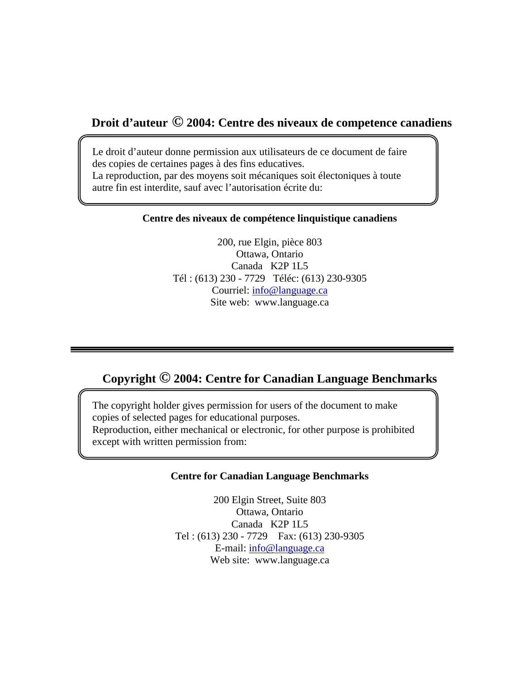## **Droit d'auteur © 2004: Centre des niveaux de competence canadiens**

Le droit d'auteur donne permission aux utilisateurs de ce document de faire des copies de certaines pages à des fins educatives. La reproduction, par des moyens soit mécaniques soit électoniques à toute autre fin est interdite, sauf avec l'autorisation écrite du:

#### **Centre des niveaux de compétence linquistique canadiens**

200, rue Elgin, pièce 803 Ottawa, Ontario Canada K2P 1L5 Tél : (613) 230 - 7729 Téléc: (613) 230-9305 Courriel: [info@language.ca](mailto:info@language.ca) Site web: www.language.ca

## **Copyright © 2004: Centre for Canadian Language Benchmarks**

The copyright holder gives permission for users of the document to make copies of selected pages for educational purposes. Reproduction, either mechanical or electronic, for other purpose is prohibited except with written permission from:

#### **Centre for Canadian Language Benchmarks**

200 Elgin Street, Suite 803 Ottawa, Ontario Canada K2P 1L5 Tel : (613) 230 - 7729 Fax: (613) 230-9305 E-mail: [info@language.ca](mailto:info@language.ca) Web site: www.language.ca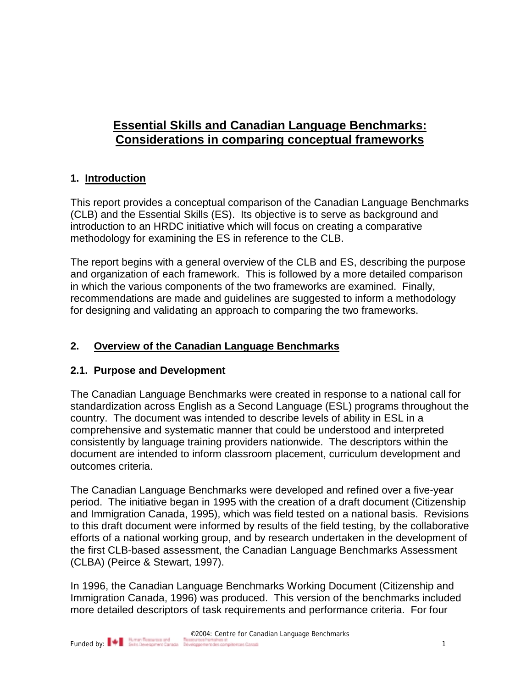# **Essential Skills and Canadian Language Benchmarks: Considerations in comparing conceptual frameworks**

## **1. Introduction**

This report provides a conceptual comparison of the Canadian Language Benchmarks (CLB) and the Essential Skills (ES). Its objective is to serve as background and introduction to an HRDC initiative which will focus on creating a comparative methodology for examining the ES in reference to the CLB.

The report begins with a general overview of the CLB and ES, describing the purpose and organization of each framework. This is followed by a more detailed comparison in which the various components of the two frameworks are examined. Finally, recommendations are made and guidelines are suggested to inform a methodology for designing and validating an approach to comparing the two frameworks.

## **2. Overview of the Canadian Language Benchmarks**

## **2.1. Purpose and Development**

The Canadian Language Benchmarks were created in response to a national call for standardization across English as a Second Language (ESL) programs throughout the country. The document was intended to describe levels of ability in ESL in a comprehensive and systematic manner that could be understood and interpreted consistently by language training providers nationwide. The descriptors within the document are intended to inform classroom placement, curriculum development and outcomes criteria.

The Canadian Language Benchmarks were developed and refined over a five-year period. The initiative began in 1995 with the creation of a draft document (Citizenship and Immigration Canada, 1995), which was field tested on a national basis. Revisions to this draft document were informed by results of the field testing, by the collaborative efforts of a national working group, and by research undertaken in the development of the first CLB-based assessment, the Canadian Language Benchmarks Assessment (CLBA) (Peirce & Stewart, 1997).

In 1996, the Canadian Language Benchmarks Working Document (Citizenship and Immigration Canada, 1996) was produced. This version of the benchmarks included more detailed descriptors of task requirements and performance criteria. For four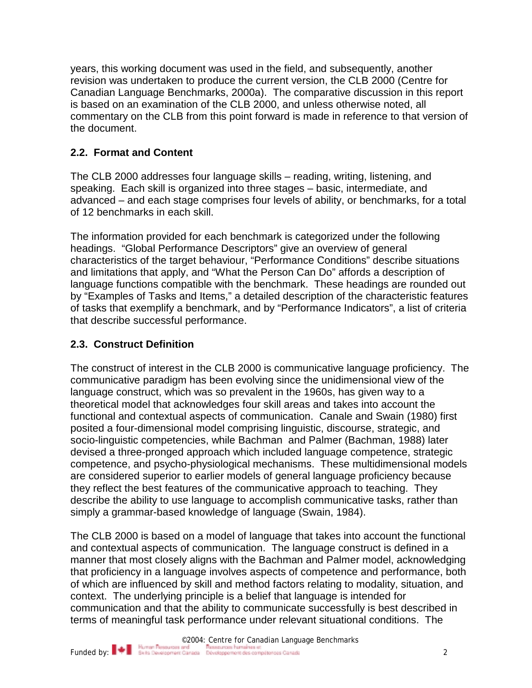years, this working document was used in the field, and subsequently, another revision was undertaken to produce the current version, the CLB 2000 (Centre for Canadian Language Benchmarks, 2000a). The comparative discussion in this report is based on an examination of the CLB 2000, and unless otherwise noted, all commentary on the CLB from this point forward is made in reference to that version of the document.

## **2.2. Format and Content**

The CLB 2000 addresses four language skills – reading, writing, listening, and speaking. Each skill is organized into three stages – basic, intermediate, and advanced – and each stage comprises four levels of ability, or benchmarks, for a total of 12 benchmarks in each skill.

The information provided for each benchmark is categorized under the following headings. "Global Performance Descriptors" give an overview of general characteristics of the target behaviour, "Performance Conditions" describe situations and limitations that apply, and "What the Person Can Do" affords a description of language functions compatible with the benchmark. These headings are rounded out by "Examples of Tasks and Items," a detailed description of the characteristic features of tasks that exemplify a benchmark, and by "Performance Indicators", a list of criteria that describe successful performance.

## **2.3. Construct Definition**

The construct of interest in the CLB 2000 is communicative language proficiency. The communicative paradigm has been evolving since the unidimensional view of the language construct, which was so prevalent in the 1960s, has given way to a theoretical model that acknowledges four skill areas and takes into account the functional and contextual aspects of communication. Canale and Swain (1980) first posited a four-dimensional model comprising linguistic, discourse, strategic, and socio-linguistic competencies, while Bachman and Palmer (Bachman, 1988) later devised a three-pronged approach which included language competence, strategic competence, and psycho-physiological mechanisms. These multidimensional models are considered superior to earlier models of general language proficiency because they reflect the best features of the communicative approach to teaching. They describe the ability to use language to accomplish communicative tasks, rather than simply a grammar-based knowledge of language (Swain, 1984).

The CLB 2000 is based on a model of language that takes into account the functional and contextual aspects of communication. The language construct is defined in a manner that most closely aligns with the Bachman and Palmer model, acknowledging that proficiency in a language involves aspects of competence and performance, both of which are influenced by skill and method factors relating to modality, situation, and context. The underlying principle is a belief that language is intended for communication and that the ability to communicate successfully is best described in terms of meaningful task performance under relevant situational conditions. The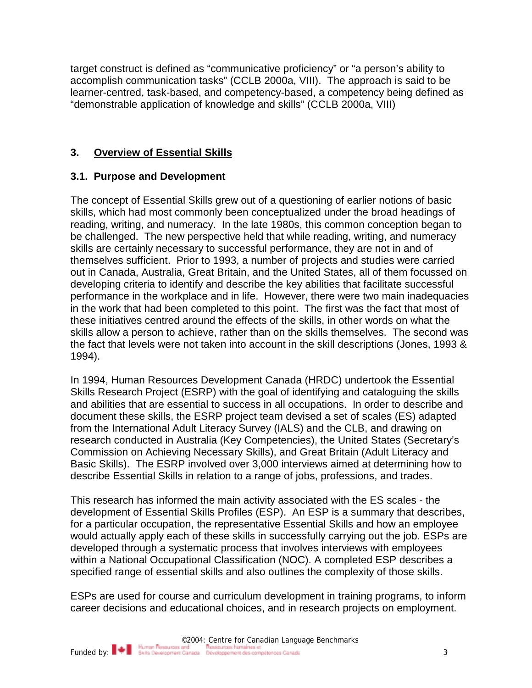target construct is defined as "communicative proficiency" or "a person's ability to accomplish communication tasks" (CCLB 2000a, VIII). The approach is said to be learner-centred, task-based, and competency-based, a competency being defined as "demonstrable application of knowledge and skills" (CCLB 2000a, VIII)

## **3. Overview of Essential Skills**

## **3.1. Purpose and Development**

The concept of Essential Skills grew out of a questioning of earlier notions of basic skills, which had most commonly been conceptualized under the broad headings of reading, writing, and numeracy. In the late 1980s, this common conception began to be challenged. The new perspective held that while reading, writing, and numeracy skills are certainly necessary to successful performance, they are not in and of themselves sufficient. Prior to 1993, a number of projects and studies were carried out in Canada, Australia, Great Britain, and the United States, all of them focussed on developing criteria to identify and describe the key abilities that facilitate successful performance in the workplace and in life. However, there were two main inadequacies in the work that had been completed to this point. The first was the fact that most of these initiatives centred around the effects of the skills, in other words on what the skills allow a person to achieve, rather than on the skills themselves. The second was the fact that levels were not taken into account in the skill descriptions (Jones, 1993 & 1994).

In 1994, Human Resources Development Canada (HRDC) undertook the Essential Skills Research Project (ESRP) with the goal of identifying and cataloguing the skills and abilities that are essential to success in all occupations. In order to describe and document these skills, the ESRP project team devised a set of scales (ES) adapted from the International Adult Literacy Survey (IALS) and the CLB, and drawing on research conducted in Australia (Key Competencies), the United States (Secretary's Commission on Achieving Necessary Skills), and Great Britain (Adult Literacy and Basic Skills). The ESRP involved over 3,000 interviews aimed at determining how to describe Essential Skills in relation to a range of jobs, professions, and trades.

This research has informed the main activity associated with the ES scales - the development of Essential Skills Profiles (ESP). An ESP is a summary that describes, for a particular occupation, the representative Essential Skills and how an employee would actually apply each of these skills in successfully carrying out the job. ESPs are developed through a systematic process that involves interviews with employees within a National Occupational Classification (NOC). A completed ESP describes a specified range of essential skills and also outlines the complexity of those skills.

ESPs are used for course and curriculum development in training programs, to inform career decisions and educational choices, and in research projects on employment.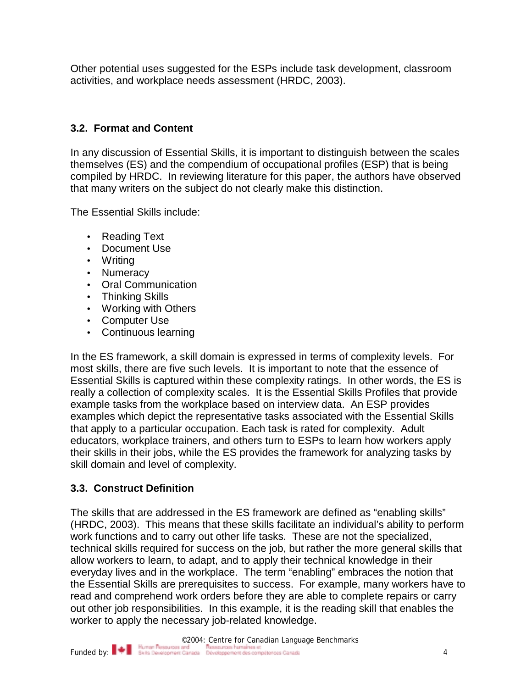Other potential uses suggested for the ESPs include task development, classroom activities, and workplace needs assessment (HRDC, 2003).

## **3.2. Format and Content**

In any discussion of Essential Skills, it is important to distinguish between the scales themselves (ES) and the compendium of occupational profiles (ESP) that is being compiled by HRDC. In reviewing literature for this paper, the authors have observed that many writers on the subject do not clearly make this distinction.

The Essential Skills include:

- Reading Text
- Document Use
- Writing
- Numeracy
- Oral Communication
- Thinking Skills
- Working with Others
- Computer Use
- Continuous learning

In the ES framework, a skill domain is expressed in terms of complexity levels. For most skills, there are five such levels. It is important to note that the essence of Essential Skills is captured within these complexity ratings. In other words, the ES is really a collection of complexity scales. It is the Essential Skills Profiles that provide example tasks from the workplace based on interview data. An ESP provides examples which depict the representative tasks associated with the Essential Skills that apply to a particular occupation. Each task is rated for complexity. Adult educators, workplace trainers, and others turn to ESPs to learn how workers apply their skills in their jobs, while the ES provides the framework for analyzing tasks by skill domain and level of complexity.

## **3.3. Construct Definition**

The skills that are addressed in the ES framework are defined as "enabling skills" (HRDC, 2003). This means that these skills facilitate an individual's ability to perform work functions and to carry out other life tasks. These are not the specialized, technical skills required for success on the job, but rather the more general skills that allow workers to learn, to adapt, and to apply their technical knowledge in their everyday lives and in the workplace. The term "enabling" embraces the notion that the Essential Skills are prerequisites to success. For example, many workers have to read and comprehend work orders before they are able to complete repairs or carry out other job responsibilities. In this example, it is the reading skill that enables the worker to apply the necessary job-related knowledge.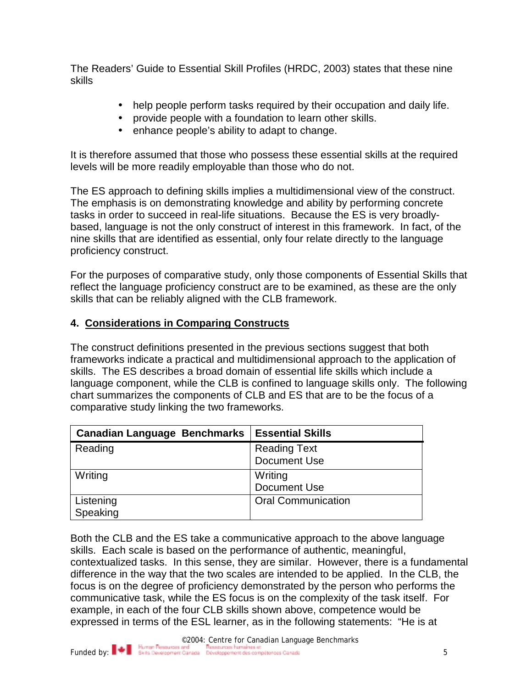The Readers' Guide to Essential Skill Profiles (HRDC, 2003) states that these nine skills

- help people perform tasks required by their occupation and daily life.
- provide people with a foundation to learn other skills.
- enhance people's ability to adapt to change.

It is therefore assumed that those who possess these essential skills at the required levels will be more readily employable than those who do not.

The ES approach to defining skills implies a multidimensional view of the construct. The emphasis is on demonstrating knowledge and ability by performing concrete tasks in order to succeed in real-life situations. Because the ES is very broadlybased, language is not the only construct of interest in this framework. In fact, of the nine skills that are identified as essential, only four relate directly to the language proficiency construct.

For the purposes of comparative study, only those components of Essential Skills that reflect the language proficiency construct are to be examined, as these are the only skills that can be reliably aligned with the CLB framework.

#### **4. Considerations in Comparing Constructs**

The construct definitions presented in the previous sections suggest that both frameworks indicate a practical and multidimensional approach to the application of skills. The ES describes a broad domain of essential life skills which include a language component, while the CLB is confined to language skills only. The following chart summarizes the components of CLB and ES that are to be the focus of a comparative study linking the two frameworks.

| <b>Canadian Language Benchmarks</b> | <b>Essential Skills</b>   |
|-------------------------------------|---------------------------|
| Reading                             | <b>Reading Text</b>       |
|                                     | Document Use              |
| Writing                             | Writing                   |
|                                     | Document Use              |
| Listening                           | <b>Oral Communication</b> |
| Speaking                            |                           |

Both the CLB and the ES take a communicative approach to the above language skills. Each scale is based on the performance of authentic, meaningful, contextualized tasks. In this sense, they are similar. However, there is a fundamental difference in the way that the two scales are intended to be applied. In the CLB, the focus is on the degree of proficiency demonstrated by the person who performs the communicative task, while the ES focus is on the complexity of the task itself. For example, in each of the four CLB skills shown above, competence would be expressed in terms of the ESL learner, as in the following statements: "He is at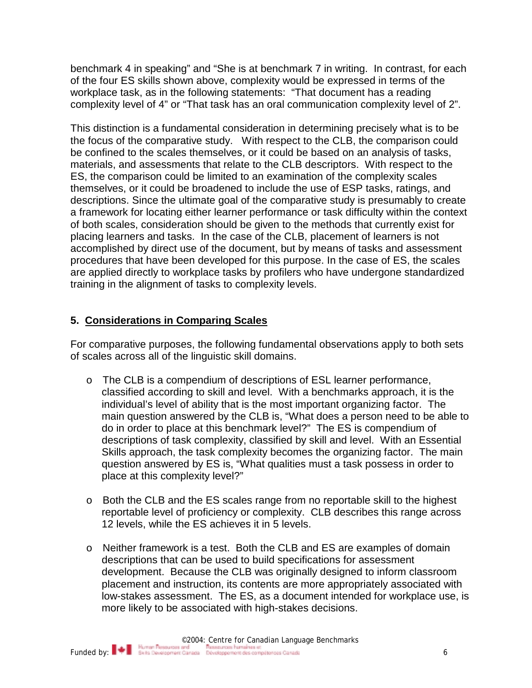benchmark 4 in speaking" and "She is at benchmark 7 in writing. In contrast, for each of the four ES skills shown above, complexity would be expressed in terms of the workplace task, as in the following statements: "That document has a reading complexity level of 4" or "That task has an oral communication complexity level of 2".

This distinction is a fundamental consideration in determining precisely what is to be the focus of the comparative study. With respect to the CLB, the comparison could be confined to the scales themselves, or it could be based on an analysis of tasks, materials, and assessments that relate to the CLB descriptors. With respect to the ES, the comparison could be limited to an examination of the complexity scales themselves, or it could be broadened to include the use of ESP tasks, ratings, and descriptions. Since the ultimate goal of the comparative study is presumably to create a framework for locating either learner performance or task difficulty within the context of both scales, consideration should be given to the methods that currently exist for placing learners and tasks. In the case of the CLB, placement of learners is not accomplished by direct use of the document, but by means of tasks and assessment procedures that have been developed for this purpose. In the case of ES, the scales are applied directly to workplace tasks by profilers who have undergone standardized training in the alignment of tasks to complexity levels.

### **5. Considerations in Comparing Scales**

For comparative purposes, the following fundamental observations apply to both sets of scales across all of the linguistic skill domains.

- o The CLB is a compendium of descriptions of ESL learner performance, classified according to skill and level. With a benchmarks approach, it is the individual's level of ability that is the most important organizing factor. The main question answered by the CLB is, "What does a person need to be able to do in order to place at this benchmark level?" The ES is compendium of descriptions of task complexity, classified by skill and level. With an Essential Skills approach, the task complexity becomes the organizing factor. The main question answered by ES is, "What qualities must a task possess in order to place at this complexity level?"
- o Both the CLB and the ES scales range from no reportable skill to the highest reportable level of proficiency or complexity. CLB describes this range across 12 levels, while the ES achieves it in 5 levels.
- o Neither framework is a test. Both the CLB and ES are examples of domain descriptions that can be used to build specifications for assessment development. Because the CLB was originally designed to inform classroom placement and instruction, its contents are more appropriately associated with low-stakes assessment. The ES, as a document intended for workplace use, is more likely to be associated with high-stakes decisions.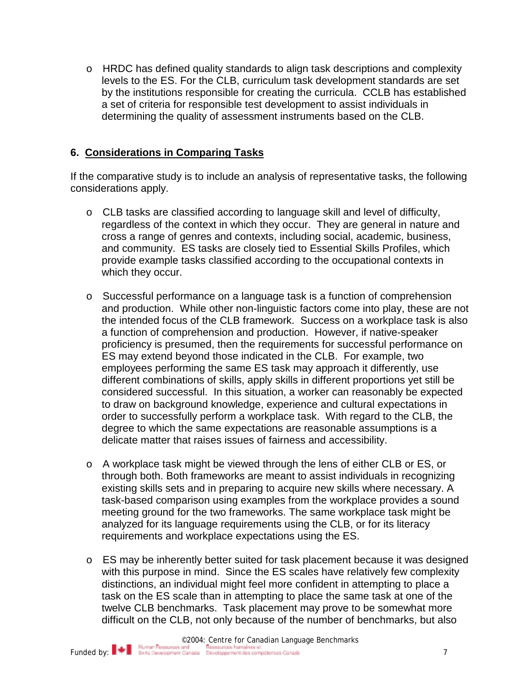o HRDC has defined quality standards to align task descriptions and complexity levels to the ES. For the CLB, curriculum task development standards are set by the institutions responsible for creating the curricula. CCLB has established a set of criteria for responsible test development to assist individuals in determining the quality of assessment instruments based on the CLB.

#### **6. Considerations in Comparing Tasks**

If the comparative study is to include an analysis of representative tasks, the following considerations apply.

- o CLB tasks are classified according to language skill and level of difficulty, regardless of the context in which they occur. They are general in nature and cross a range of genres and contexts, including social, academic, business, and community. ES tasks are closely tied to Essential Skills Profiles, which provide example tasks classified according to the occupational contexts in which they occur.
- o Successful performance on a language task is a function of comprehension and production. While other non-linguistic factors come into play, these are not the intended focus of the CLB framework. Success on a workplace task is also a function of comprehension and production. However, if native-speaker proficiency is presumed, then the requirements for successful performance on ES may extend beyond those indicated in the CLB. For example, two employees performing the same ES task may approach it differently, use different combinations of skills, apply skills in different proportions yet still be considered successful. In this situation, a worker can reasonably be expected to draw on background knowledge, experience and cultural expectations in order to successfully perform a workplace task. With regard to the CLB, the degree to which the same expectations are reasonable assumptions is a delicate matter that raises issues of fairness and accessibility.
- o A workplace task might be viewed through the lens of either CLB or ES, or through both. Both frameworks are meant to assist individuals in recognizing existing skills sets and in preparing to acquire new skills where necessary. A task-based comparison using examples from the workplace provides a sound meeting ground for the two frameworks. The same workplace task might be analyzed for its language requirements using the CLB, or for its literacy requirements and workplace expectations using the ES.
- o ES may be inherently better suited for task placement because it was designed with this purpose in mind. Since the ES scales have relatively few complexity distinctions, an individual might feel more confident in attempting to place a task on the ES scale than in attempting to place the same task at one of the twelve CLB benchmarks. Task placement may prove to be somewhat more difficult on the CLB, not only because of the number of benchmarks, but also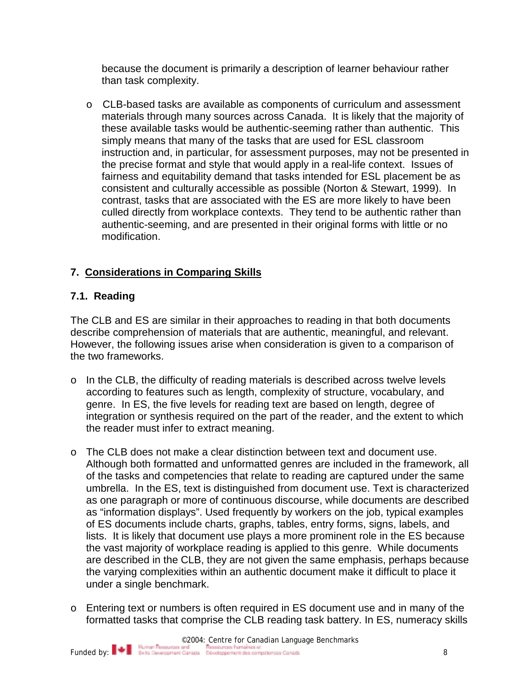because the document is primarily a description of learner behaviour rather than task complexity.

o CLB-based tasks are available as components of curriculum and assessment materials through many sources across Canada. It is likely that the majority of these available tasks would be authentic-seeming rather than authentic. This simply means that many of the tasks that are used for ESL classroom instruction and, in particular, for assessment purposes, may not be presented in the precise format and style that would apply in a real-life context. Issues of fairness and equitability demand that tasks intended for ESL placement be as consistent and culturally accessible as possible (Norton & Stewart, 1999). In contrast, tasks that are associated with the ES are more likely to have been culled directly from workplace contexts. They tend to be authentic rather than authentic-seeming, and are presented in their original forms with little or no modification.

## **7. Considerations in Comparing Skills**

### **7.1. Reading**

The CLB and ES are similar in their approaches to reading in that both documents describe comprehension of materials that are authentic, meaningful, and relevant. However, the following issues arise when consideration is given to a comparison of the two frameworks.

- o In the CLB, the difficulty of reading materials is described across twelve levels according to features such as length, complexity of structure, vocabulary, and genre. In ES, the five levels for reading text are based on length, degree of integration or synthesis required on the part of the reader, and the extent to which the reader must infer to extract meaning.
- o The CLB does not make a clear distinction between text and document use. Although both formatted and unformatted genres are included in the framework, all of the tasks and competencies that relate to reading are captured under the same umbrella. In the ES, text is distinguished from document use. Text is characterized as one paragraph or more of continuous discourse, while documents are described as "information displays". Used frequently by workers on the job, typical examples of ES documents include charts, graphs, tables, entry forms, signs, labels, and lists. It is likely that document use plays a more prominent role in the ES because the vast majority of workplace reading is applied to this genre. While documents are described in the CLB, they are not given the same emphasis, perhaps because the varying complexities within an authentic document make it difficult to place it under a single benchmark.
- o Entering text or numbers is often required in ES document use and in many of the formatted tasks that comprise the CLB reading task battery. In ES, numeracy skills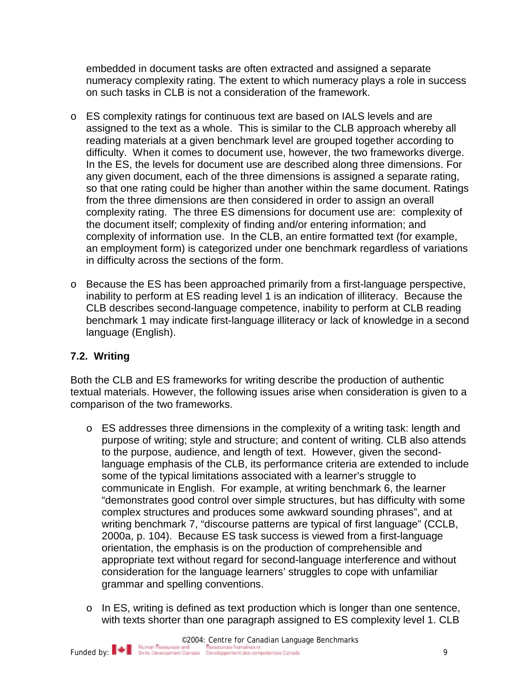embedded in document tasks are often extracted and assigned a separate numeracy complexity rating. The extent to which numeracy plays a role in success on such tasks in CLB is not a consideration of the framework.

- o ES complexity ratings for continuous text are based on IALS levels and are assigned to the text as a whole. This is similar to the CLB approach whereby all reading materials at a given benchmark level are grouped together according to difficulty. When it comes to document use, however, the two frameworks diverge. In the ES, the levels for document use are described along three dimensions. For any given document, each of the three dimensions is assigned a separate rating, so that one rating could be higher than another within the same document. Ratings from the three dimensions are then considered in order to assign an overall complexity rating. The three ES dimensions for document use are: complexity of the document itself; complexity of finding and/or entering information; and complexity of information use. In the CLB, an entire formatted text (for example, an employment form) is categorized under one benchmark regardless of variations in difficulty across the sections of the form.
- o Because the ES has been approached primarily from a first-language perspective, inability to perform at ES reading level 1 is an indication of illiteracy. Because the CLB describes second-language competence, inability to perform at CLB reading benchmark 1 may indicate first-language illiteracy or lack of knowledge in a second language (English).

### **7.2. Writing**

Both the CLB and ES frameworks for writing describe the production of authentic textual materials. However, the following issues arise when consideration is given to a comparison of the two frameworks.

- o ES addresses three dimensions in the complexity of a writing task: length and purpose of writing; style and structure; and content of writing. CLB also attends to the purpose, audience, and length of text. However, given the secondlanguage emphasis of the CLB, its performance criteria are extended to include some of the typical limitations associated with a learner's struggle to communicate in English. For example, at writing benchmark 6, the learner "demonstrates good control over simple structures, but has difficulty with some complex structures and produces some awkward sounding phrases", and at writing benchmark 7, "discourse patterns are typical of first language" (CCLB, 2000a, p. 104). Because ES task success is viewed from a first-language orientation, the emphasis is on the production of comprehensible and appropriate text without regard for second-language interference and without consideration for the language learners' struggles to cope with unfamiliar grammar and spelling conventions.
- o In ES, writing is defined as text production which is longer than one sentence, with texts shorter than one paragraph assigned to ES complexity level 1. CLB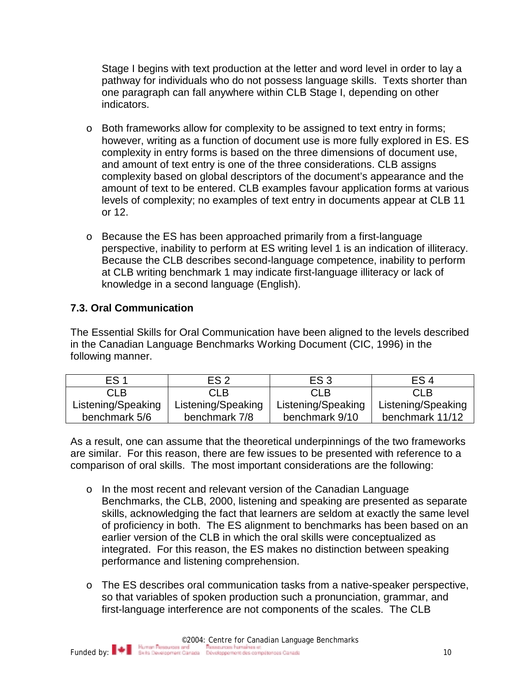Stage I begins with text production at the letter and word level in order to lay a pathway for individuals who do not possess language skills. Texts shorter than one paragraph can fall anywhere within CLB Stage I, depending on other indicators.

- o Both frameworks allow for complexity to be assigned to text entry in forms; however, writing as a function of document use is more fully explored in ES. ES complexity in entry forms is based on the three dimensions of document use, and amount of text entry is one of the three considerations. CLB assigns complexity based on global descriptors of the document's appearance and the amount of text to be entered. CLB examples favour application forms at various levels of complexity; no examples of text entry in documents appear at CLB 11 or 12.
- o Because the ES has been approached primarily from a first-language perspective, inability to perform at ES writing level 1 is an indication of illiteracy. Because the CLB describes second-language competence, inability to perform at CLB writing benchmark 1 may indicate first-language illiteracy or lack of knowledge in a second language (English).

## **7.3. Oral Communication**

The Essential Skills for Oral Communication have been aligned to the levels described in the Canadian Language Benchmarks Working Document (CIC, 1996) in the following manner.

| ES <sub>1</sub>    | ES <sub>2</sub>    | ES <sub>3</sub>    | ES <sub>4</sub>    |
|--------------------|--------------------|--------------------|--------------------|
| CLB                | CLB.               | <b>CLB</b>         | <b>CLB</b>         |
| Listening/Speaking | Listening/Speaking | Listening/Speaking | Listening/Speaking |
| benchmark 5/6      | benchmark 7/8      | benchmark 9/10     | benchmark 11/12    |

As a result, one can assume that the theoretical underpinnings of the two frameworks are similar. For this reason, there are few issues to be presented with reference to a comparison of oral skills. The most important considerations are the following:

- o In the most recent and relevant version of the Canadian Language Benchmarks, the CLB, 2000, listening and speaking are presented as separate skills, acknowledging the fact that learners are seldom at exactly the same level of proficiency in both. The ES alignment to benchmarks has been based on an earlier version of the CLB in which the oral skills were conceptualized as integrated. For this reason, the ES makes no distinction between speaking performance and listening comprehension.
- o The ES describes oral communication tasks from a native-speaker perspective, so that variables of spoken production such a pronunciation, grammar, and first-language interference are not components of the scales. The CLB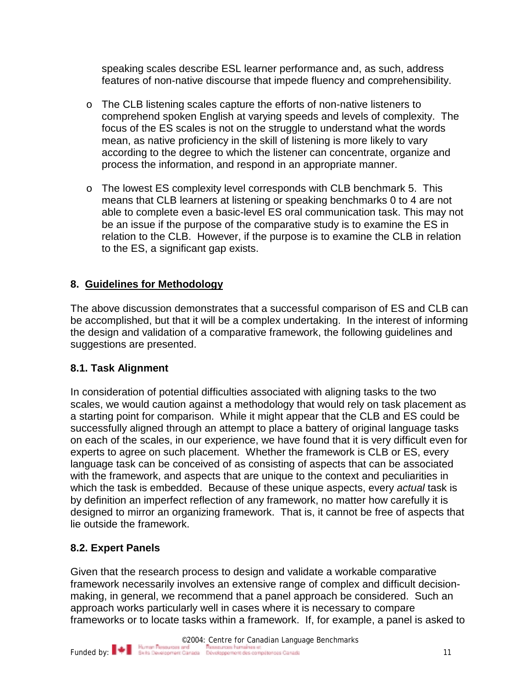speaking scales describe ESL learner performance and, as such, address features of non-native discourse that impede fluency and comprehensibility.

- o The CLB listening scales capture the efforts of non-native listeners to comprehend spoken English at varying speeds and levels of complexity. The focus of the ES scales is not on the struggle to understand what the words mean, as native proficiency in the skill of listening is more likely to vary according to the degree to which the listener can concentrate, organize and process the information, and respond in an appropriate manner.
- o The lowest ES complexity level corresponds with CLB benchmark 5. This means that CLB learners at listening or speaking benchmarks 0 to 4 are not able to complete even a basic-level ES oral communication task. This may not be an issue if the purpose of the comparative study is to examine the ES in relation to the CLB. However, if the purpose is to examine the CLB in relation to the ES, a significant gap exists.

## **8. Guidelines for Methodology**

The above discussion demonstrates that a successful comparison of ES and CLB can be accomplished, but that it will be a complex undertaking. In the interest of informing the design and validation of a comparative framework, the following guidelines and suggestions are presented.

### **8.1. Task Alignment**

In consideration of potential difficulties associated with aligning tasks to the two scales, we would caution against a methodology that would rely on task placement as a starting point for comparison. While it might appear that the CLB and ES could be successfully aligned through an attempt to place a battery of original language tasks on each of the scales, in our experience, we have found that it is very difficult even for experts to agree on such placement. Whether the framework is CLB or ES, every language task can be conceived of as consisting of aspects that can be associated with the framework, and aspects that are unique to the context and peculiarities in which the task is embedded. Because of these unique aspects, every *actual* task is by definition an imperfect reflection of any framework, no matter how carefully it is designed to mirror an organizing framework. That is, it cannot be free of aspects that lie outside the framework.

### **8.2. Expert Panels**

Given that the research process to design and validate a workable comparative framework necessarily involves an extensive range of complex and difficult decisionmaking, in general, we recommend that a panel approach be considered. Such an approach works particularly well in cases where it is necessary to compare frameworks or to locate tasks within a framework. If, for example, a panel is asked to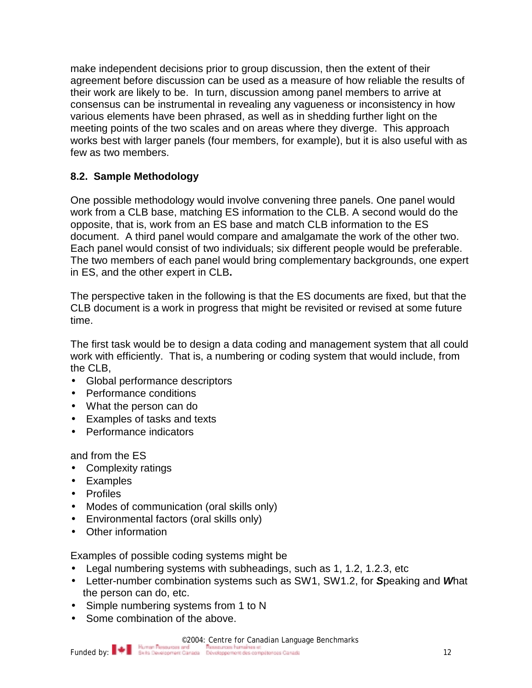make independent decisions prior to group discussion, then the extent of their agreement before discussion can be used as a measure of how reliable the results of their work are likely to be. In turn, discussion among panel members to arrive at consensus can be instrumental in revealing any vagueness or inconsistency in how various elements have been phrased, as well as in shedding further light on the meeting points of the two scales and on areas where they diverge. This approach works best with larger panels (four members, for example), but it is also useful with as few as two members.

## **8.2. Sample Methodology**

One possible methodology would involve convening three panels. One panel would work from a CLB base, matching ES information to the CLB. A second would do the opposite, that is, work from an ES base and match CLB information to the ES document. A third panel would compare and amalgamate the work of the other two. Each panel would consist of two individuals; six different people would be preferable. The two members of each panel would bring complementary backgrounds, one expert in ES, and the other expert in CLB**.** 

The perspective taken in the following is that the ES documents are fixed, but that the CLB document is a work in progress that might be revisited or revised at some future time.

The first task would be to design a data coding and management system that all could work with efficiently. That is, a numbering or coding system that would include, from the CLB,

- Global performance descriptors
- Performance conditions
- What the person can do
- Examples of tasks and texts
- Performance indicators

### and from the ES

- Complexity ratings
- Examples
- Profiles
- Modes of communication (oral skills only)
- Environmental factors (oral skills only)
- Other information

Examples of possible coding systems might be

- Legal numbering systems with subheadings, such as 1, 1.2, 1.2.3, etc
- Letter-number combination systems such as SW1, SW1.2, for *S*peaking and *W*hat the person can do, etc.
- Simple numbering systems from 1 to N
- Some combination of the above.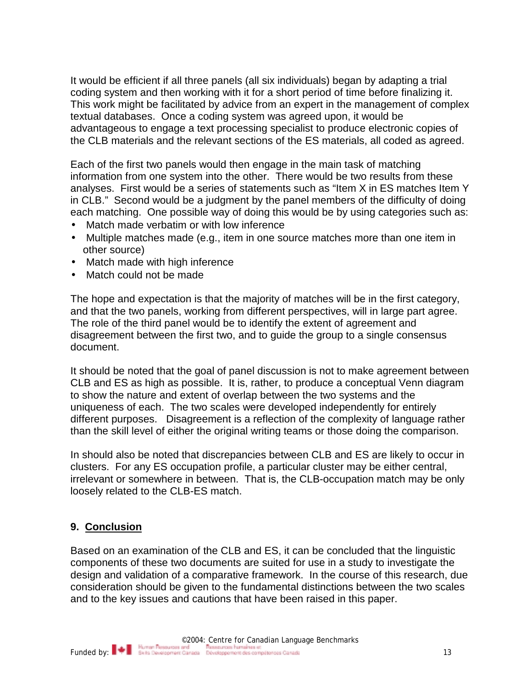It would be efficient if all three panels (all six individuals) began by adapting a trial coding system and then working with it for a short period of time before finalizing it. This work might be facilitated by advice from an expert in the management of complex textual databases. Once a coding system was agreed upon, it would be advantageous to engage a text processing specialist to produce electronic copies of the CLB materials and the relevant sections of the ES materials, all coded as agreed.

Each of the first two panels would then engage in the main task of matching information from one system into the other. There would be two results from these analyses. First would be a series of statements such as "Item X in ES matches Item Y in CLB." Second would be a judgment by the panel members of the difficulty of doing each matching. One possible way of doing this would be by using categories such as:

- Match made verbatim or with low inference
- Multiple matches made (e.g., item in one source matches more than one item in other source)
- Match made with high inference
- Match could not be made

The hope and expectation is that the majority of matches will be in the first category, and that the two panels, working from different perspectives, will in large part agree. The role of the third panel would be to identify the extent of agreement and disagreement between the first two, and to guide the group to a single consensus document.

It should be noted that the goal of panel discussion is not to make agreement between CLB and ES as high as possible. It is, rather, to produce a conceptual Venn diagram to show the nature and extent of overlap between the two systems and the uniqueness of each. The two scales were developed independently for entirely different purposes. Disagreement is a reflection of the complexity of language rather than the skill level of either the original writing teams or those doing the comparison.

In should also be noted that discrepancies between CLB and ES are likely to occur in clusters. For any ES occupation profile, a particular cluster may be either central, irrelevant or somewhere in between. That is, the CLB-occupation match may be only loosely related to the CLB-ES match.

#### **9. Conclusion**

Based on an examination of the CLB and ES, it can be concluded that the linguistic components of these two documents are suited for use in a study to investigate the design and validation of a comparative framework. In the course of this research, due consideration should be given to the fundamental distinctions between the two scales and to the key issues and cautions that have been raised in this paper.